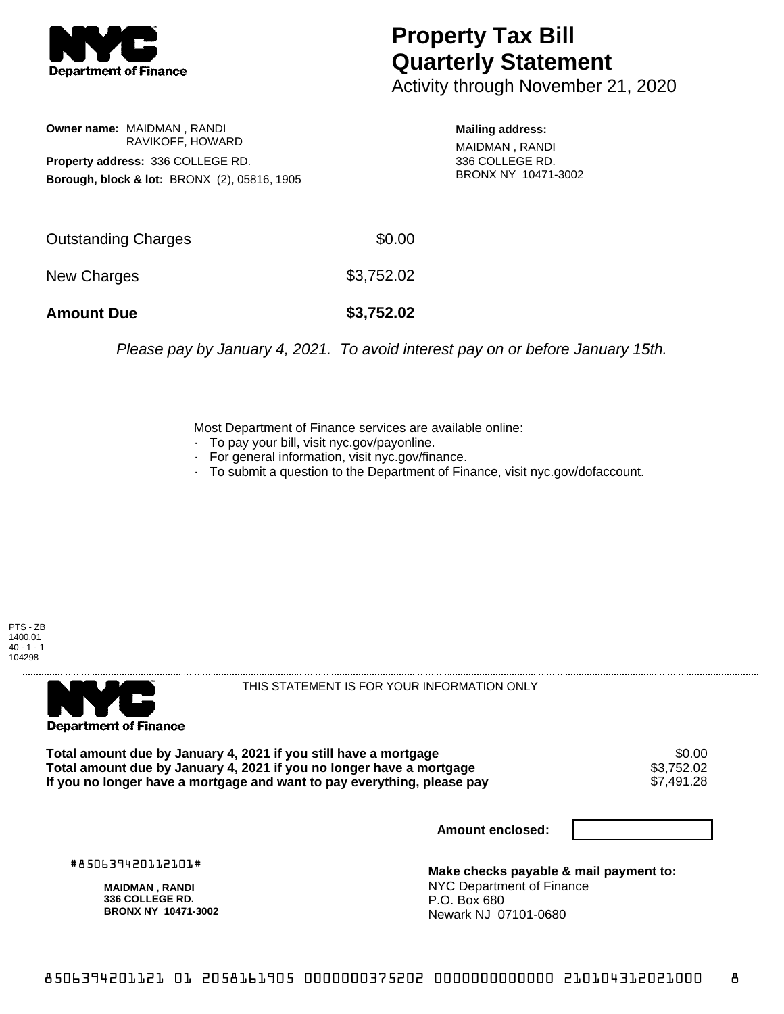

## **Property Tax Bill Quarterly Statement**

Activity through November 21, 2020

**Owner name:** MAIDMAN , RANDI RAVIKOFF, HOWARD **Property address:** 336 COLLEGE RD. **Borough, block & lot:** BRONX (2), 05816, 1905 **Mailing address:**

MAIDMAN , RANDI 336 COLLEGE RD. BRONX NY 10471-3002

| \$0.00     |
|------------|
| \$3,752.02 |
| \$3,752.02 |
|            |

Please pay by January 4, 2021. To avoid interest pay on or before January 15th.

Most Department of Finance services are available online:

- · To pay your bill, visit nyc.gov/payonline.
- For general information, visit nyc.gov/finance.
- · To submit a question to the Department of Finance, visit nyc.gov/dofaccount.

PTS - ZB 1400.01  $40 - 1 - 1$ 104298



THIS STATEMENT IS FOR YOUR INFORMATION ONLY

Total amount due by January 4, 2021 if you still have a mortgage \$0.00<br>Total amount due by January 4, 2021 if you no longer have a mortgage \$3.752.02 **Total amount due by January 4, 2021 if you no longer have a mortgage**  $$3,752.02$$ **<br>If you no longer have a mortgage and want to pay everything, please pay**  $$7,491.28$$ If you no longer have a mortgage and want to pay everything, please pay

**Amount enclosed:**

#850639420112101#

**MAIDMAN , RANDI 336 COLLEGE RD. BRONX NY 10471-3002**

**Make checks payable & mail payment to:** NYC Department of Finance P.O. Box 680 Newark NJ 07101-0680